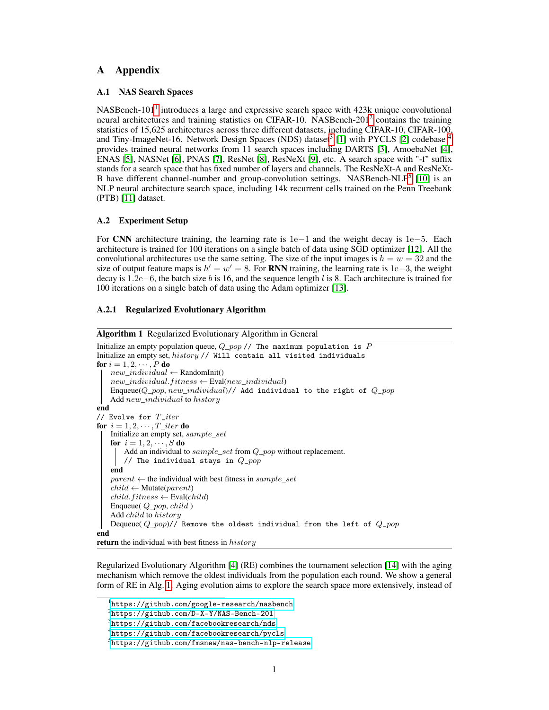## A Appendix

### A.1 NAS Search Spaces

NASBench-[1](#page-0-0)01<sup>1</sup> introduces a large and expressive search space with 423k unique convolutional neural architectures and training statistics on CIFAR-10. NASBench-[2](#page-0-1)01<sup>2</sup> contains the training statistics of 15,625 architectures across three different datasets, including CIFAR-10, CIFAR-100, and Tiny-ImageNet-16. Network Design Spaces (NDS) dataset<sup>[3](#page-0-2)</sup> [1] with PYCLS [2] codebase <sup>[4](#page-0-3)</sup> provides trained neural networks from 11 search spaces including DARTS [3], AmoebaNet [4], ENAS [5], NASNet [6], PNAS [7], ResNet [8], ResNeXt [9], etc. A search space with "-f" suffix stands for a search space that has fixed number of layers and channels. The ResNeXt-A and ResNeXt-B have different channel-number and group-convolution settings. NASBench-NLP<sup>[5](#page-0-4)</sup> [10] is an NLP neural architecture search space, including 14k recurrent cells trained on the Penn Treebank (PTB) [11] dataset.

## A.2 Experiment Setup

For CNN architecture training, the learning rate is 1e−1 and the weight decay is 1e−5. Each architecture is trained for 100 iterations on a single batch of data using SGD optimizer [12]. All the convolutional architectures use the same setting. The size of the input images is  $h = w = 32$  and the size of output feature maps is  $h' = w' = 8$ . For RNN training, the learning rate is 1e–3, the weight decay is 1.2e−6, the batch size b is 16, and the sequence length l is 8. Each architecture is trained for 100 iterations on a single batch of data using the Adam optimizer [13].

#### A.2.1 Regularized Evolutionary Algorithm

<span id="page-0-5"></span>

| <b>Algorithm 1</b> Regularized Evolutionary Algorithm in General              |
|-------------------------------------------------------------------------------|
| Initialize an empty population queue, $Q_{pop}/T$ The maximum population is P |
| Initialize an empty set, history // Will contain all visited individuals      |
| for $i = 1, 2, \dots, P$ do                                                   |
| $new\_individual \leftarrow RandomInit()$                                     |
| $new\_individual.fitness \leftarrow \text{Eval}(new\_individual)$             |
| Enqueue( $Q$ _pop, new_individual)// Add individual to the right of $Q$ _pop  |
| Add new_individual to history                                                 |
| end                                                                           |
| // Evolve for $T\_iter$                                                       |
| for $i = 1, 2, \cdots, T$ <i>iter</i> do                                      |
| Initialize an empty set, sample_set                                           |
| for $i = 1, 2, \dots, S$ do                                                   |
| Add an individual to $sample\_set$ from $Q\_pop$ without replacement.         |
| // The individual stays in $Q\_pop$                                           |
| end                                                                           |
| $parent \leftarrow$ the individual with best fitness in sample_set            |
| $child \leftarrow$ Mutate( <i>parent</i> )                                    |
| $child.fitness \leftarrow \text{Eval}(child)$                                 |
| Enqueue( $Q\_pop, child$ )                                                    |
| Add <i>child</i> to <i>history</i>                                            |
| Dequeue( $Q\_pop$ )// Remove the oldest individual from the left of $Q\_pop$  |
| end                                                                           |
| <b>return</b> the individual with best fitness in <i>history</i>              |

Regularized Evolutionary Algorithm [4] (RE) combines the tournament selection [14] with the aging mechanism which remove the oldest individuals from the population each round. We show a general form of RE in Alg. [1.](#page-0-5) Aging evolution aims to explore the search space more extensively, instead of

<span id="page-0-0"></span><sup>1</sup> <https://github.com/google-research/nasbench>

<span id="page-0-1"></span><sup>2</sup> <https://github.com/D-X-Y/NAS-Bench-201>

<span id="page-0-2"></span> $^3$ <https://github.com/facebookresearch/nds>

<span id="page-0-3"></span><sup>4</sup> <https://github.com/facebookresearch/pycls>

<span id="page-0-4"></span> $^{5}$ <https://github.com/fmsnew/nas-bench-nlp-release>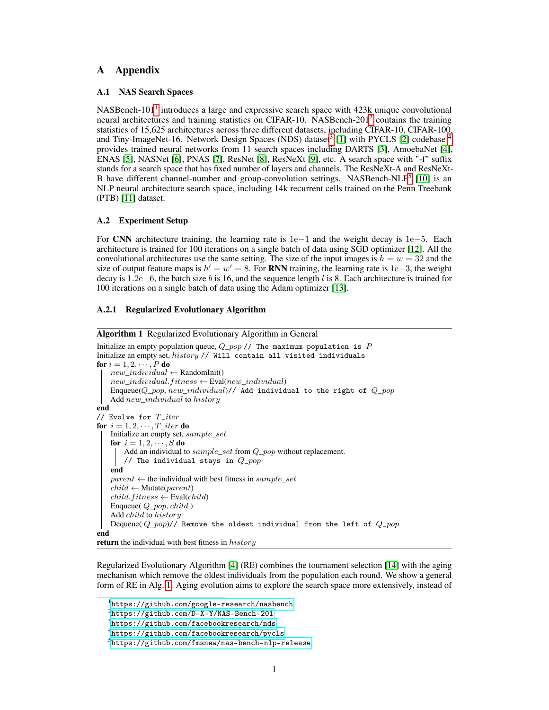focusing on the good models too early. Works [15, 16, 17] also suggest that the RE is suitable for neural architecture search. Since we aim to develop a general NAS evaluator (as the fitness function in RE), we conduct fair comparisons between GenNAS and other methods without fine-tuning or any tricks (e.g., warming-up). Hence, we constantly use the setting  $P = 50$ ,  $S = 10$ , T iter = 400 for all the search experiments.

#### A.2.2 Proxy Task Search

<span id="page-1-0"></span>

Figure 1: The configuration of a task in JSON style and the illustration of task mutation.

The configuration of a task is shown in Fig. [1.](#page-1-0) We introduce the detailed settings of different signal bases. (1) Noise is chosen from standard Gaussian distribution  $(\mathcal{N}(0,1))$  or uniform distribution  $(U(-1, 1))$ . The generated noise maps are directly multiplied by the level which can be selected from 0 to 1 with a step of 0.1. (2) Sin1D generates 2D synthetic feature maps using different frequencies choosing from the range, which contains 10 frequencies sampled from  $[a, b]$ , where a and b are sampled from 0 to 0.5 with the constraint  $0 < a < b < 0.5$ . (3) Sin2D uses the similar setting as Sin1D, where both the  $f_x$  and  $f_y$  for a 2D feature map are sampled from the range. (4)  $C_i$  can be selected from {16, 32, 48, 64, 96}. Other settings are already described in Section 3.1.2. During the mutation, each minimum mutatable block (including signal definitions and the number of channels) has 0.2 probability to be regenerated as shown in Fig. [1.](#page-1-0) For RNN settings, we search for both the input and output synthetic signal tensors. The dimension  $d$  is chosen from  ${16, 32, 48, 64, 96}.$ 

#### A.2.3 End-to-end NAS

In the end-to-end NAS, GenNAS is incorporated in the RE as the fitness function to explore the search space. For **NASBench-101**, the mutation rate for each vertice is  $1/|v|$  where  $|v| = 7$ . More details of the search space NASBench-101 can be found in the original paper [16]. For NASBench-201, the mutation rate for each edge is  $1/|e|$  where  $|e| = 6$ . More details of the search space NASBench-101 can be found in the original paper [15]. For NDS ResNet series, the sub search space consists of 25000 sampled architectures from the whole search space. We apply mutation in RE by randomly sampling 200 architectures from the sub search space and choosing the most similar architecture as the child. For **NASBench-NLP**, we follow the work  $[10]$  by using the graph2vec  $[18]$  features find the most similar architecture as the child.

#### A.3 Additional Experiments

#### A.3.1 Regression vs. Classification Using Same Training Samples

We study effectiveness of regression using 10 tasks searched on NASBench-101, varying the batch size from 1 to 1024. The ranking correlation achieved by GenNAS using regression is plotted in Fig. 2a. We also plot the classification task performances with single-batch data in Fig. 2b. Apparently, using the same amount of data, the ranking correlation achieved by classification ( $\rho$  around 0.85) is much worse than regression ( $\rho$  around 0.3).

#### A.3.2 Batch Sizes and Iterations

We show the effect of batch size by using 10 tasks searched on NASBench-101. We use batch sizes varied from 1 to 1024 and plot the ranking results in Fig. 2a. We find that 16 as the batch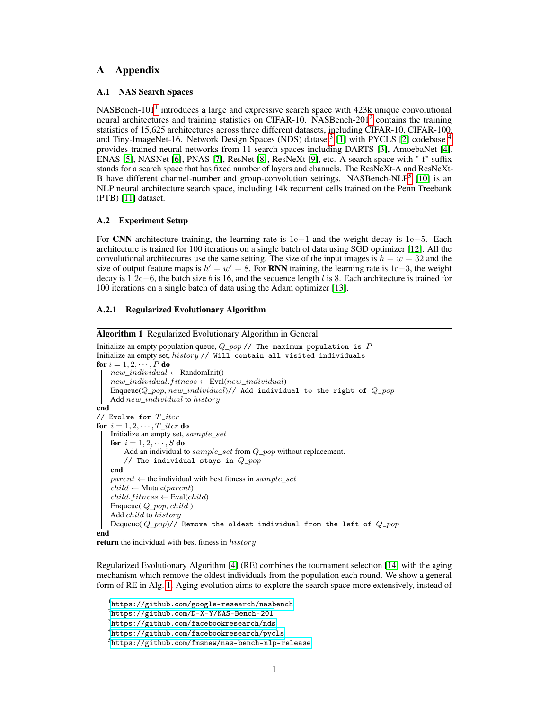(a) Regression (GenNAS) ranking correlation averag to Classi cation task's ranking correlation using the from 10 searched tasks using different batch sizes. same setting as (a).

(c) Classi cation accuracy vs. GenNS regression loss) Classi cation accuracy vs. GenNS regression loss with batch size 1. with batch size 16.

(e) Classi cation accuracy vs. GenNS regression loss 10 searched tasks' ranking correlation on with batch size 1024. NASBench-101 using different numbers of iterations.

Figure 2: (a) Regression (GenNAS) ranking correlation averaged from 10 searched tasks on NASBench-101 in terms of Spearman'swith batch size inf 1; 16; 32; :::; 256; 512; 1024g. (b) Classi cation task's ranking correlation using the same amount of data in (a). (c) Classi cation accuracy using a searched task on NASBench-101 with batch size as 1 on CIFAR-10. The y-axis is the groundtruth (CIFAR-10 accuracy) and the x-axis is the GenNAS regression loss. (d) Similar to (c), batch size as 16. (e) Similar to (c), batch size as 1024. (f) 10 searched tasks ranking performance (in terms of Spearman's) on NASBench-101 using different iterations.

size is adequate for a good ranking performance. Also, we observe a small degradation when batch size increases and then becomes stable as the batch size keeps increasing. Hence, We plot the ranked architecture distribution with a searched task using 1, 16, 1024 as batch size respectively on Fig. 2c, 2d, 2e. We observe that when only using a single image, the poor-performance architectures can also achieve similar regression losses as the good architectures. It suggests that the task is too easy to distinguish the differences among architectures. Also, 1024 as batch size leads to the higher regression losses of best architectures. It suggests that a very challenging task is also hard for good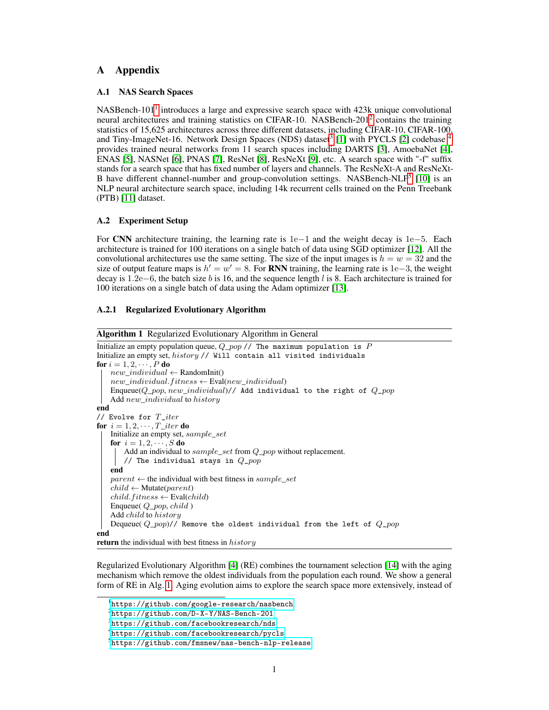architectures to learn and may lead to slight ranking performance degradation. In addition, we plot the ranking performance using different numbers of iterations in Fig. 2f. It shows that 100 iterations is necessary for the convergence of ranking performance.

A.3.3 Sensitivity Studies of Random Seeds and Initialization

Table 1: Ranking correlation (Spearman) sanalysis of different 10 seeds across three different search spaces with the searched tasks on them respectively. For the NASBench-101, the 500 architecture samples 19 are constantly used for evaluation. For DARTS and ResNet search spaces, 1000 samples are randomly sampled with different seeds from the evaluated architecture sets provided by NDS [

| Search Space |       |       |       |       |       |       |       |       |       |       | Average  |
|--------------|-------|-------|-------|-------|-------|-------|-------|-------|-------|-------|----------|
| NASBench-101 | 0.880 | 0.850 | 0.875 | 0.869 | 0.872 | 0.874 | 0.877 | 0.863 | 0.872 | 0.872 | 0.808    |
| DARTS        | 0.809 | 0.899 | 0.861 | 0.831 | 0.841 | 0.836 | 0.851 | 0.841 | 0.885 | 0.861 | 0086125  |
| ResNet       | 0.860 | 0.853 | 0.841 | 0.810 | 0.865 | 0.877 | 0.874 | 0.804 | 0.808 | 0.803 | (0.8449) |

Random Seeds.We rerun the 3 searched tasks on their target search spaces (NASBench-101, DARTS, ResNet) for 10 runs with different random seeds. The results are shown in Table 1. GenNAS demonstrates its robustness across different random seeds.

Table 2: Ranking correlation (Spearman) sanalysis of 10 searched tasks on NASBench-101 with different initialization methods.

| Weight init | <b>Bias init</b> |       |       |       |       |       |       |       |       |       |       | Average  |
|-------------|------------------|-------|-------|-------|-------|-------|-------|-------|-------|-------|-------|----------|
| Default     | Default          | 0.835 | 0.860 | 0.860 | 0.878 | 0.835 | 0.810 | 0.859 | 0.832 | 0.816 | 0.828 | 00894211 |
| Kaiming     | Default          | 0.844 | 0.854 | 0.857 | 0.856 | 0.832 | 0.818 | 0.854 | 0.746 | 0.829 | 0.811 | 008362   |
| Xavier      | Default          | 0.856 | 0.881 | 0.863 | 0.874 | 0.849 | 0.825 | 0.865 | 0.830 | 0.838 | 0.851 | 0085188  |
| Default     | Zero             | 0.867 | 0.882 | 0.854 | 0.880 | 0.848 | 0.847 | 0.874 | 0.808 | 0.848 | 0.850 | 0080501  |
| Kaiming     | Zero             | 0.845 | 0.842 | 0.856 | 0.861 | 0.828 | 0.821 | 0.846 | 0.770 | 0.823 | 0.823 | 00803215 |
| Xavier      | Zero             | 0.859 | 0.876 | 0.869 | 0.879 | 0.839 | 0.842 | 0.861 | 0.828 | 0.846 | 0.843 | 00805416 |

Initialization. We perform an experiment to evaluate the effects of different initialization for 10 searched tasks on NASBench-101. For the weights, we use the default PyTorch initialization, Kaiming initialization [20], and Xavier initialization [21]. For the bias, we use the default PyTorch initialization and zeroized initialization. The results are shown in Table 2. We observe that for some speci c tasks (e.g., task 7), Kaiming initialization may lead to lower ranking correlation. Also, zeroized bias initialization slightly increases the ranking correlation. However, overall, GenNAS shows stable performance across different initialization methods.

## A.3.4 Kendall Tau and Retrieving Rates

For the sample experiments on NASBench-101/201/NLP and NDS, we report the performance of our methods compared to other ef cient NAS approaches' in Table 3 by Ken@202]. We de ne the retrieving rate@topK as fered@TopKGT@TopKg, where# is the operator of cardinality, #f GT@TopKg GT@TopK and Pred@TopK are the set of architectures that are ranked in the top-K of groundtruths and predictions respectively. We report the retrieving rate@Top10% for all the search spaces in Table 4. Moreover, we report the retrieving rate@Top5%-Top50% for GenNAS-COMBO and GenNAS-N on NASBench-101 with other 1000 random sampled architectures in Table 5.

## A.3.5 End-to-end NAS Architectures

Here we visualize all the ImageNet DARTS cell architectures: searched by GenNAS-combo, searched by GenNAS-D14 in Fig 3 and Fig 4 respectively.

## A.3.6 GPU Performance

We use the PyTorch 1.5.0 (6), on a desktop with I7-6700K CPU, 16 GB RAM and a GTX 1080 Ti GPU (11GB GDDR5X memory) to evaluate the GPU performance of GenNAS. The results are shown in Table 6.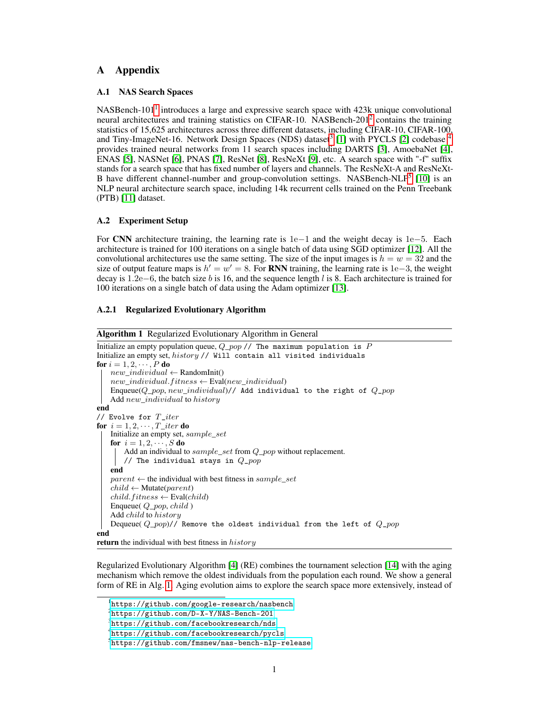(a) Normal cell (b) Reduce cell

Figure 3: Cell architectures (normal and reduce) searched by GenNAS-combo

(a) Normal cell (b) Reduce cell

# Figure 4: Cell architectures (normal and reduce) searched by GenNAS-D14

Table 3: GenNAS' ranking correlation evaluation comparing with other ef cient NAS approaches using the Kendall . NASBench-101

|                             | NASBench-101  |               |                     |        |        |               |          |               |          |  |  |
|-----------------------------|---------------|---------------|---------------------|--------|--------|---------------|----------|---------------|----------|--|--|
|                             | Dataset       | <b>NASWOT</b> |                     | syn ow |        | <b>GenNAS</b> |          |               |          |  |  |
|                             |               | $[23]$        | $[24]$              |        | single | combo         |          | search-N      |          |  |  |
|                             | CIFAR-10      | 0.27          |                     | 0.24   | 0.59   | 0.66          | 0.7      |               |          |  |  |
|                             | ImgNet        | 0.36          |                     | 0.14   | 0.47   | 0.54          | 0.53     |               |          |  |  |
| NASBench-201                |               |               |                     |        |        |               |          |               |          |  |  |
| <b>Dataset</b>              | <b>NASWOT</b> | syn ow        | jacob_cov           |        | snip   | <b>EcoNAS</b> |          | <b>GenNAS</b> |          |  |  |
|                             |               |               |                     |        |        | $[25]$        | single   | combo         | search-N |  |  |
| CIFAR-10                    | 0.6           | 0.52          | 0.59                |        | 0.41   | 0.62          | 0.57     | 0.67          | 0.71     |  |  |
| CIFAR-100                   | 0.63          | 0.57          | 0.53                |        | 0.46   | 0.57          | 0.52     | 0.63          | 0.65     |  |  |
| ImgNet16                    | 0.6           | 0.54          | 0.56                |        | 0.44   | 0.57          | 0.53     | 0.61          | 0.67     |  |  |
| <b>Neural Design Spaces</b> |               |               |                     |        |        |               |          |               |          |  |  |
| Dataset                     | NAS-Space     | <b>NASWOT</b> | syn ow              |        |        |               | GenNAS   |               |          |  |  |
|                             |               |               |                     | single |        | combo         | search-N | search-D      | search-R |  |  |
| CIFAR-10                    | <b>DARTS</b>  | 0.48          | 0.3                 | 0.3    |        | 0.45          | 0.52     | 0.68          | 0.63     |  |  |
|                             | DARTS-f       | 0.21          | 0.09                | 0.36   |        | 0.43          | 0.37     | 0.42          | 0.36     |  |  |
|                             | Amoeba        | 0.21          | 0.06                | 0.36   |        | 0.47          | 0.5      | 0.59          | 0.53     |  |  |
|                             | <b>ENAS</b>   | 0.39          | 0.13                | 0.39   |        | 0.49          | 0.48     | 0.63          | 0.59     |  |  |
|                             | ENAS-f        | 0.31          | 0.2                 | 0.46   |        | 0.55          | 0.49     | 0.53          | 0.48     |  |  |
|                             | <b>NASNet</b> | 0.3           | 0.02                | 0.4    |        | 0.5           | 0.47     | 0.58          | 0.52     |  |  |
|                             | <b>PNAS</b>   | 0.36          | 0.17                | 0.22   |        | 0.37          | 0.42     | 0.57          | 0.52     |  |  |
|                             | PNAS-f        | 0.09          | 0.18                | 0.31   |        | 0.38          | 0.39     | 0.38          | 0.33     |  |  |
|                             | ResNet        | 0.19          | 0.14                | 0.23   |        | 0.38          | 0.38     | 0.38          | 0.64     |  |  |
|                             | ResNeXt-A     | 0.46          | 0.32                | 0.4    |        | 0.5           | 0.6      | 0.45          | 0.65     |  |  |
|                             | ResNeXt-B     | 0.4           | 0.43                | 0.17   |        | 0.3           | 0.37     | 0.38          | 0.52     |  |  |
| ImageNet                    | <b>DARTS</b>  | 0.49          | 0.14                | 0.43   |        | 0.52          | 0.52     | 0.66          | 0.48     |  |  |
|                             | DARTS-f       | 0.13          | 0.25                | 0.49   |        | 0.57          | 0.48     | 0.51          | 0.42     |  |  |
|                             | Amoeba        | 0.33          | 0.17                | 0.46   |        | 0.53          | 0.55     | 0.62          | 0.5      |  |  |
|                             | <b>ENAS</b>   | 0.51          | 0.12                | 0.4    |        | 0.47          | 0.4      | 0.63          | 0.48     |  |  |
|                             | <b>NASNet</b> | 0.39          | 0.01                | 0.36   |        | 0.42          | 0.37     | 0.5           | 0.43     |  |  |
|                             | PNAS          | 0.45          | 0.11                | 0.19   |        | 0.27          | 0.31     | 0.45          | 0.3      |  |  |
|                             | ResNeXt-A     | 0.52          | 0.28                | 0.61   |        | 0.7           | 0.56     | 0.44          | 0.69     |  |  |
|                             | ResNeXt-B     | 0.45          | 0.21                | 0.53   |        | 0.65          | 0.39     | 0.43          | 0.67     |  |  |
|                             |               |               | <b>NASBench-NLP</b> |        |        |               |          |               |          |  |  |
|                             |               | Dataset       |                     | GenNAS |        |               |          |               |          |  |  |
|                             |               |               | single              | combo  |        | search        |          |               |          |  |  |
|                             |               | PTB           | 0.43                | 0.55   |        | 0.63          |          |               |          |  |  |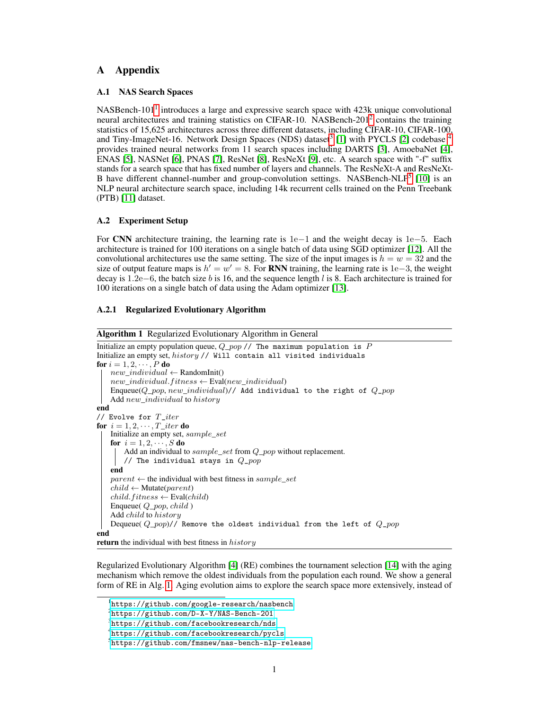Table 4: GenNAS' retrieving rate@top10% comparing with other ef cient NAS approaches. For the NASBench-101 we use the set of 500 architectures that sampled by Liu, to disting the ImageNet groundtruth.

|                 |              | NASBench-101                |        |               |      |               |           |        |        |               |               |               |          |  |
|-----------------|--------------|-----------------------------|--------|---------------|------|---------------|-----------|--------|--------|---------------|---------------|---------------|----------|--|
|                 |              | <b>Dataset</b>              |        | number        |      | <b>NASWOT</b> |           | syn ow |        | GenNAS        |               |               |          |  |
|                 |              |                             |        | of samples    |      | $[23]$        |           | [24]   | single |               | combo         | search-N      |          |  |
|                 |              | CIFAR-10                    |        | 500           |      | 32%           |           | 28%    | 58%    |               | 64%<br>68%    |               |          |  |
|                 |              | ImgNet                      |        | 500           |      | 36%           |           | 14%    | 52%    |               | 54%<br>64%    |               |          |  |
|                 | NASBench-201 |                             |        |               |      |               |           |        |        |               |               |               |          |  |
| <b>Dataset</b>  |              | number                      |        | <b>NASWOT</b> |      | syn ow        | jacob cov |        | snip   | <b>EcoNAS</b> |               | GenNAS        |          |  |
|                 |              | of samples                  |        |               |      |               |           |        |        | $[25]$        | single        | combo         | search-N |  |
| CIFAR-10        |              | 1000                        |        | 43%           |      | 48%           | 27%       |        | 27%    | 52%           | 43%           | 36%           | 53%      |  |
|                 | CIFAR-100    | 1000                        |        | 48%           |      | 47%           | 23%       |        | 36%    | 47%           | 46%           | 46%           | 58%      |  |
| ImgNet16        |              | 1000                        |        | 49%           |      | 43%           | 33%       |        | 32%    | 41%           | 48%           | 40%           | 51%      |  |
|                 |              | <b>Neural Design Spaces</b> |        |               |      |               |           |        |        |               |               |               |          |  |
| Dataset         |              | number                      |        | NAS-Space     |      | <b>NASWOT</b> | syn ow    |        |        |               | <b>GenNAS</b> |               |          |  |
|                 |              | of samples                  |        |               |      |               |           | single |        | combo         | search-N      | search-D      | search-R |  |
| CIFAR-10        |              | 1000                        |        | <b>DARTS</b>  | 29%  |               | 10%       | 16%    |        | 43%           | 45%           | 59%           | 49%      |  |
|                 |              | 1000                        |        | DARTS-f       | 1%   |               | 5%        | 22%    |        | 33%           | 18%           | 22%           | 23%      |  |
|                 |              | 1000                        |        | Amoeba        | 20%  |               | 4%        | 20%    |        | 39%           | 45%           | 50%           | 40%      |  |
|                 |              | 1000                        |        | <b>ENAS</b>   | 31%  |               | 6%        | 25%    |        | 48%           | 41%           | 57%           | 48%      |  |
|                 |              | 1000                        |        | ENAS-f        | 28%  |               | 2%        | 34%    |        | 45%           | 42%           | 38%           | 37%      |  |
|                 |              | 1000                        |        | <b>NASNet</b> | 33%  |               | 7%        | 27%    |        | 38%           | 46%           | 52%           | 43%      |  |
|                 |              | 1000                        |        | <b>PNAS</b>   | 24%  |               | 9%        | 21%    |        | 39%           | 46%           | 44%           | 37%      |  |
|                 |              | 1000                        |        | PNAS-f        | 6%   |               | 4%        | 21%    |        | 27%           | 31%           | 25%           | 22%      |  |
|                 |              | 1000                        |        | ResNet        | 7%   |               | 4%        | 38%    |        | 44%           | 38%           | 54%           | 64%      |  |
|                 |              | 1000                        |        | ResNeXt-A     | 28%  |               | 25%       | 25%    |        | 61%           | 53%           | 52%           | 58%      |  |
|                 |              | 1000                        |        | ResNeXt-B     | 21%  |               | 30%       | 10%    |        | 13%           | 36%           | 40%           | 71%      |  |
| <b>ImageNet</b> |              | 121                         |        | <b>DARTS</b>  |      | 17%           | 0%        | 50%    |        | 58%           | 55%           | 58%           | 18%      |  |
|                 |              | 499                         |        | DARTS-f       | 8%   |               | 4%        | 33%    |        | 27%           | 35%           | 39%           | 24%      |  |
|                 |              | 124                         |        | Amoeba        | 33%  |               | 0%        | 50%    |        | 42%           | 58%           | 58%           | 41%      |  |
|                 |              | 117                         |        | <b>ENAS</b>   | 36%  |               | 9%        | 18%    |        | 18%           | 45%           | 55%           | 45%      |  |
|                 |              | 122                         |        | <b>NASNet</b> | 33%  |               | 0%        | 42%    |        | 50%           | 42%           | 33%           | 33%      |  |
|                 |              | 119                         |        | <b>PNAS</b>   | 10%  |               | 9%        | 45%    |        | 36%           | 45%           | 55%           | 9%       |  |
|                 |              | 130                         |        | ResNeXt-A     | 31%  |               | 8%        | 67%    |        | 67%           | 50%           | 33%           | 75%      |  |
|                 |              | 164                         |        | ResNeXt-B     | 38%  |               | 13%       | 38%    |        | 50%           | 33%           | 38%           | 64%      |  |
|                 |              | NASBench-NLP                |        |               |      |               |           |        |        |               |               |               |          |  |
|                 | Dataset      |                             | number | grad          | norm | snip          | grasp     |        | sher   | syn ow        |               | <b>GenNAS</b> |          |  |
|                 |              | of samples                  |        |               |      |               |           |        |        |               | single        | combo         | search   |  |
|                 | <b>PTB</b>   | 1000                        |        | 10%           | 10%  | 4%            |           | 22%    |        | 38%           | 38%           | 47%63%        |          |  |

|                        | Table 5: Retrieving rate@top5%-top50% of GenNAS-combo/N on 1000 randomly sampled architec- |  |  |
|------------------------|--------------------------------------------------------------------------------------------|--|--|
| tures on NASBench-101. |                                                                                            |  |  |

| Method       | @top5% |      |      |      | @top10% @top20% @top30% @top40% @top50% |      |
|--------------|--------|------|------|------|-----------------------------------------|------|
| GenNAS-combo | 0 G    | 0.6  | 0.73 | 0 74 | 0.79                                    | 0.82 |
| GenNAS-N     | 0.56   | 0.58 | 0.66 | 0.76 | 0.80                                    | 0.85 |

Table 6: Evaluations of GenNAS' GPU performance. We test GenNAS with 6 different batch sizes from 16 to 96. "A/B" denotes: A (second) as the average one-iteration run time for the search space, and B (GB or gigabyte) as the GPU memory usage. "OOM" means some large models may lead to the out-of-memory issue for the target GPU.

| Search Space  | B-size 16  | B-size 32  | B-size 48  | B-size 64  | B-size 80  | B-size 96  |
|---------------|------------|------------|------------|------------|------------|------------|
| NASBench-101  | 0.023/0.78 | 0.023/0.92 | 0.023/1.12 | 0.022/1.22 | 0.023/1.41 | 0.023/1.56 |
| NASBench-201  | 0.020/0.77 | 0.020/0.93 | 0.021/1.12 | 0.020/1.24 | 0.020/1.46 | 0.020/1.62 |
| <b>DARTS</b>  | 0.049/1.92 | 0.056/3.39 | 0.069/5.07 | 0.088/6.88 | 0.103/7.62 | <b>OOM</b> |
| DARTS-f       | 0.077/1.42 | 0.088/2.21 | 0.104/3.30 | 0.122/3.79 | 0.145/5.15 | 0.171/6.07 |
| Amoeba        | 0.080/2.53 | 0.103/4.38 | 0.128/6.60 | 0.159/9.25 | 0.194/6.85 | <b>OOM</b> |
| <b>ENAS</b>   | 0.059/2.40 | 0.076/4.31 | 0.090/5.84 | 0.115/7.78 | 0.140/9.15 | <b>OOM</b> |
| ENAS-f        | 0.095/1.67 | 0.111/2.58 | 0.134/3.70 | 0.159/4.54 | 0.186/6.31 | 0.216/7.53 |
| <b>NASNet</b> | 0.061/2.23 | 0.073/3.77 | 0.094/5.83 | 0.116/6.87 | 0.140/8.68 | 0.160/9.30 |
| <b>PNAS</b>   | 0.074/2.52 | 0.097/4.36 | 0.121/6.53 | 0.155/8.23 | 0.189/9.42 | <b>OOM</b> |
| <b>PNAS-f</b> | 0.114/1.69 | 0.143/2.67 | 0.173/4.03 | 0.208/4.83 | 0.250/6.24 | 0.293/7.45 |
| ResNet        | 0.016/1.28 | 0.016/1.54 | 0.016/2.05 | 0.016/2.34 | 0.016/2.34 | 0.016/2.77 |
| ResNeXt-A     | 0.025/1.65 | 0.025/2.82 | 0.026/4.55 | 0.027/6.86 | 0.028/9.75 | 0.029/5.92 |
| ResNeXt-B     | 0.022/1.98 | 0.022/3.47 | 0.023/5.63 | 0.024/7.33 | 0.027/9.51 | 0.029/5.95 |
| NASBench-NLP  | 0.029/0.90 | 0.029/0.90 | 0.029/0.90 | 0.029/0.90 | 0.029/0.93 | 0.029/0.94 |